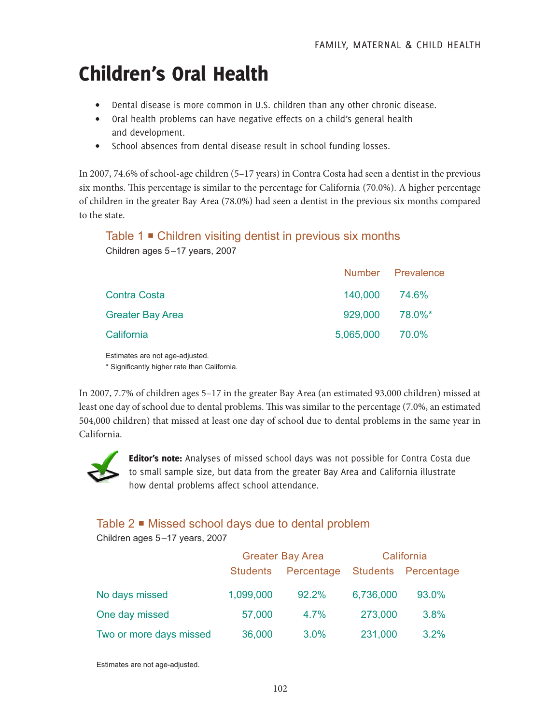# Children's Oral Health

- Dental disease is more common in U.S. children than any other chronic disease.
- Oral health problems can have negative effects on a child's general health and development.
- School absences from dental disease result in school funding losses.

In 2007, 74.6% of school-age children (5–17 years) in Contra Costa had seen a dentist in the previous six months. This percentage is similar to the percentage for California (70.0%). A higher percentage of children in the greater Bay Area (78.0%) had seen a dentist in the previous six months compared to the state.

### Table 1 **■** Children visiting dentist in previous six months Children ages 5–17 years, 2007

|                         |                 | Number Prevalence |
|-------------------------|-----------------|-------------------|
| <b>Contra Costa</b>     | 140,000 74.6%   |                   |
| <b>Greater Bay Area</b> | 929,000 78.0%*  |                   |
| California              | 5,065,000 70.0% |                   |

Estimates are not age-adjusted.

\* Significantly higher rate than California.

In 2007, 7.7% of children ages 5–17 in the greater Bay Area (an estimated 93,000 children) missed at least one day of school due to dental problems. This was similar to the percentage (7.0%, an estimated 504,000 children) that missed at least one day of school due to dental problems in the same year in California.



Editor's note: Analyses of missed school days was not possible for Contra Costa due to small sample size, but data from the greater Bay Area and California illustrate how dental problems affect school attendance.

## Table 2 Missed school days due to dental problem

Children ages 5–17 years, 2007

|                         | <b>Greater Bay Area</b> |                                | California |       |
|-------------------------|-------------------------|--------------------------------|------------|-------|
|                         | <b>Students</b>         | Percentage Students Percentage |            |       |
| No days missed          | 1,099,000               | 92.2%                          | 6,736,000  | 93.0% |
| One day missed          | 57,000                  | 4.7%                           | 273,000    | 3.8%  |
| Two or more days missed | 36,000                  | 3.0%                           | 231,000    | 3.2%  |

Estimates are not age-adjusted.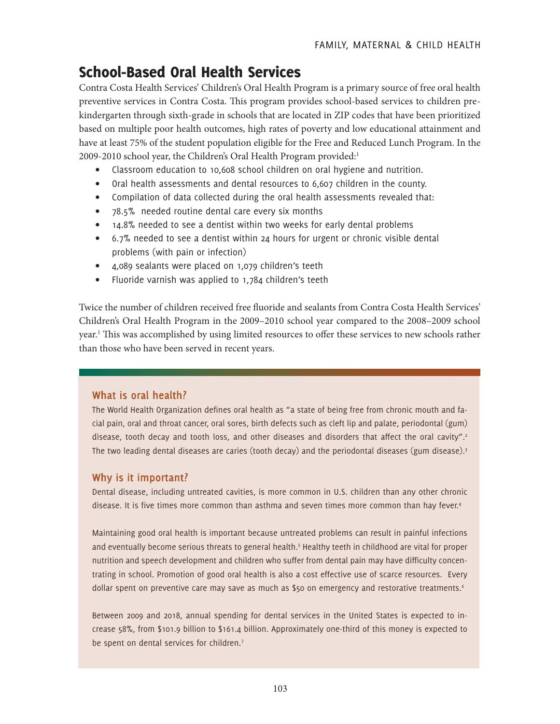# School-Based Oral Health Services

Contra Costa Health Services' Children's Oral Health Program is a primary source of free oral health preventive services in Contra Costa. This program provides school-based services to children prekindergarten through sixth-grade in schools that are located in ZIP codes that have been prioritized based on multiple poor health outcomes, high rates of poverty and low educational attainment and have at least 75% of the student population eligible for the Free and Reduced Lunch Program. In the 2009-2010 school year, the Children's Oral Health Program provided:<sup>1</sup>

- Classroom education to 10,608 school children on oral hygiene and nutrition.
- Oral health assessments and dental resources to 6,607 children in the county.
- Compilation of data collected during the oral health assessments revealed that:
- 78.5% needed routine dental care every six months
- 14.8% needed to see a dentist within two weeks for early dental problems
- 6.7% needed to see a dentist within 24 hours for urgent or chronic visible dental problems (with pain or infection)
- 4,089 sealants were placed on 1,079 children's teeth
- Fluoride varnish was applied to 1,784 children's teeth

Twice the number of children received free fluoride and sealants from Contra Costa Health Services' Children's Oral Health Program in the 2009–2010 school year compared to the 2008–2009 school year.1 This was accomplished by using limited resources to offer these services to new schools rather than those who have been served in recent years.

#### **What is oral health?**

The World Health Organization defines oral health as "a state of being free from chronic mouth and facial pain, oral and throat cancer, oral sores, birth defects such as cleft lip and palate, periodontal (gum) disease, tooth decay and tooth loss, and other diseases and disorders that affect the oral cavity".<sup>2</sup> The two leading dental diseases are caries (tooth decay) and the periodontal diseases (gum disease).<sup>3</sup>

#### **Why is it important?**

Dental disease, including untreated cavities, is more common in U.S. children than any other chronic disease. It is five times more common than asthma and seven times more common than hay fever.<sup>4</sup>

Maintaining good oral health is important because untreated problems can result in painful infections and eventually become serious threats to general health.<sup>5</sup> Healthy teeth in childhood are vital for proper nutrition and speech development and children who suffer from dental pain may have difficulty concentrating in school. Promotion of good oral health is also a cost effective use of scarce resources. Every dollar spent on preventive care may save as much as \$50 on emergency and restorative treatments.<sup>6</sup>

Between 2009 and 2018, annual spending for dental services in the United States is expected to increase 58%, from \$101.9 billion to \$161.4 billion. Approximately one-third of this money is expected to be spent on dental services for children.<sup>7</sup>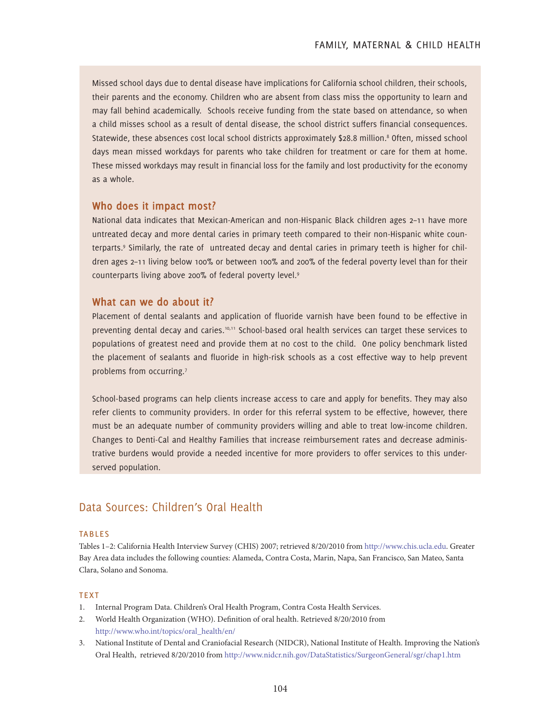Missed school days due to dental disease have implications for California school children, their schools, their parents and the economy. Children who are absent from class miss the opportunity to learn and may fall behind academically. Schools receive funding from the state based on attendance, so when a child misses school as a result of dental disease, the school district suffers financial consequences. Statewide, these absences cost local school districts approximately \$28.8 million.<sup>8</sup> Often, missed school days mean missed workdays for parents who take children for treatment or care for them at home. These missed workdays may result in financial loss for the family and lost productivity for the economy as a whole.

#### **Who does it impact most?**

National data indicates that Mexican-American and non-Hispanic Black children ages 2–11 have more untreated decay and more dental caries in primary teeth compared to their non-Hispanic white counterparts.9 Similarly, the rate of untreated decay and dental caries in primary teeth is higher for children ages 2–11 living below 100% or between 100% and 200% of the federal poverty level than for their counterparts living above 200% of federal poverty level.9

#### **What can we do about it?**

Placement of dental sealants and application of fluoride varnish have been found to be effective in preventing dental decay and caries.10,11 School-based oral health services can target these services to populations of greatest need and provide them at no cost to the child. One policy benchmark listed the placement of sealants and fluoride in high-risk schools as a cost effective way to help prevent problems from occurring.<sup>7</sup>

School-based programs can help clients increase access to care and apply for benefits. They may also refer clients to community providers. In order for this referral system to be effective, however, there must be an adequate number of community providers willing and able to treat low-income children. Changes to Denti-Cal and Healthy Families that increase reimbursement rates and decrease administrative burdens would provide a needed incentive for more providers to offer services to this underserved population.

#### Data Sources: Children's Oral Health

#### **TABLES**

Tables 1–2: California Health Interview Survey (CHIS) 2007; retrieved 8/20/2010 from http://www.chis.ucla.edu. Greater Bay Area data includes the following counties: Alameda, Contra Costa, Marin, Napa, San Francisco, San Mateo, Santa Clara, Solano and Sonoma.

#### **TEXT**

- 1. Internal Program Data. Children's Oral Health Program, Contra Costa Health Services.
- 2. World Health Organization (WHO). Definition of oral health. Retrieved 8/20/2010 from http://www.who.int/topics/oral\_health/en/
- 3. National Institute of Dental and Craniofacial Research (NIDCR), National Institute of Health. Improving the Nation's Oral Health, retrieved 8/20/2010 from http://www.nidcr.nih.gov/DataStatistics/SurgeonGeneral/sgr/chap1.htm